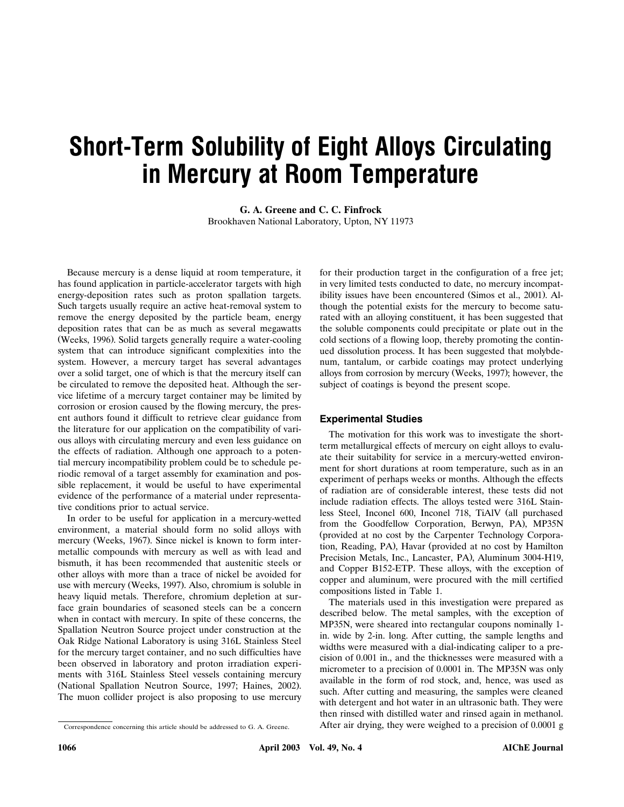# **Short-Term Solubility of Eight Alloys Circulating in Mercury at Room Temperature**

**G. A. Greene and C. C. Finfrock** Brookhaven National Laboratory, Upton, NY 11973

Because mercury is a dense liquid at room temperature, it has found application in particle-accelerator targets with high energy-deposition rates such as proton spallation targets. Such targets usually require an active heat-removal system to remove the energy deposited by the particle beam, energy deposition rates that can be as much as several megawatts (Weeks, 1996). Solid targets generally require a water-cooling system that can introduce significant complexities into the system. However, a mercury target has several advantages over a solid target, one of which is that the mercury itself can be circulated to remove the deposited heat. Although the service lifetime of a mercury target container may be limited by corrosion or erosion caused by the flowing mercury, the present authors found it difficult to retrieve clear guidance from the literature for our application on the compatibility of various alloys with circulating mercury and even less guidance on the effects of radiation. Although one approach to a potential mercury incompatibility problem could be to schedule periodic removal of a target assembly for examination and possible replacement, it would be useful to have experimental evidence of the performance of a material under representative conditions prior to actual service.

In order to be useful for application in a mercury-wetted environment, a material should form no solid alloys with mercury (Weeks, 1967). Since nickel is known to form intermetallic compounds with mercury as well as with lead and bismuth, it has been recommended that austenitic steels or other alloys with more than a trace of nickel be avoided for use with mercury (Weeks, 1997). Also, chromium is soluble in heavy liquid metals. Therefore, chromium depletion at surface grain boundaries of seasoned steels can be a concern when in contact with mercury. In spite of these concerns, the Spallation Neutron Source project under construction at the Oak Ridge National Laboratory is using 316L Stainless Steel for the mercury target container, and no such difficulties have been observed in laboratory and proton irradiation experiments with 316L Stainless Steel vessels containing mercury (National Spallation Neutron Source, 1997; Haines, 2002). The muon collider project is also proposing to use mercury

for their production target in the configuration of a free jet; in very limited tests conducted to date, no mercury incompatibility issues have been encountered (Simos et al., 2001). Although the potential exists for the mercury to become saturated with an alloying constituent, it has been suggested that the soluble components could precipitate or plate out in the cold sections of a flowing loop, thereby promoting the continued dissolution process. It has been suggested that molybdenum, tantalum, or carbide coatings may protect underlying alloys from corrosion by mercury (Weeks, 1997); however, the subject of coatings is beyond the present scope.

### **Experimental Studies**

The motivation for this work was to investigate the shortterm metallurgical effects of mercury on eight alloys to evaluate their suitability for service in a mercury-wetted environment for short durations at room temperature, such as in an experiment of perhaps weeks or months. Although the effects of radiation are of considerable interest, these tests did not include radiation effects. The alloys tested were 316L Stainless Steel, Inconel 600, Inconel 718, TiAlV (all purchased from the Goodfellow Corporation, Berwyn, PA), MP35N (provided at no cost by the Carpenter Technology Corporation, Reading, PA), Havar (provided at no cost by Hamilton Precision Metals, Inc., Lancaster, PA), Aluminum 3004-H19, and Copper B152-ETP. These alloys, with the exception of copper and aluminum, were procured with the mill certified compositions listed in Table 1.

The materials used in this investigation were prepared as described below. The metal samples, with the exception of MP35N, were sheared into rectangular coupons nominally 1 in. wide by 2-in. long. After cutting, the sample lengths and widths were measured with a dial-indicating caliper to a precision of 0.001 in., and the thicknesses were measured with a micrometer to a precision of 0.0001 in. The MP35N was only available in the form of rod stock, and, hence, was used as such. After cutting and measuring, the samples were cleaned with detergent and hot water in an ultrasonic bath. They were then rinsed with distilled water and rinsed again in methanol. After air drying, they were weighed to a precision of 0.0001 g

Correspondence concerning this article should be addressed to G. A. Greene.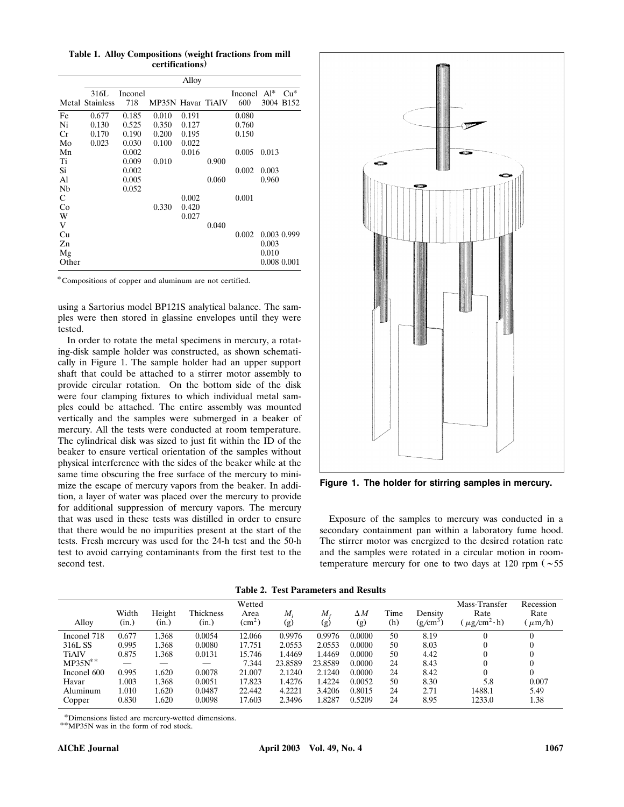**Table 1. Alloy Compositions weight fractions from mill ( certifications)**

|       | Alloy                  |         |                   |       |       |                |             |           |  |
|-------|------------------------|---------|-------------------|-------|-------|----------------|-------------|-----------|--|
|       | 316L                   | Inconel |                   |       |       | Inconel $Al^*$ |             | $Cu*$     |  |
|       | <b>Metal Stainless</b> | 718     | MP35N Havar TiAlV |       |       | 600            |             | 3004 B152 |  |
| Fe    | 0.677                  | 0.185   | 0.010             | 0.191 |       | 0.080          |             |           |  |
| Ni    | 0.130                  | 0.525   | 0.350             | 0.127 |       | 0.760          |             |           |  |
| Cr    | 0.170                  | 0.190   | 0.200             | 0.195 |       | 0.150          |             |           |  |
| Mo    | 0.023                  | 0.030   | 0.100             | 0.022 |       |                |             |           |  |
| Mn    |                        | 0.002   |                   | 0.016 |       | 0.005          | 0.013       |           |  |
| Ti    |                        | 0.009   | 0.010             |       | 0.900 |                |             |           |  |
| Si    |                        | 0.002   |                   |       |       | 0.002          | 0.003       |           |  |
| Al    |                        | 0.005   |                   |       | 0.060 |                | 0.960       |           |  |
| Nb    |                        | 0.052   |                   |       |       |                |             |           |  |
| C     |                        |         |                   | 0.002 |       | 0.001          |             |           |  |
| Co    |                        |         | 0.330             | 0.420 |       |                |             |           |  |
| W     |                        |         |                   | 0.027 |       |                |             |           |  |
| V     |                        |         |                   |       | 0.040 |                |             |           |  |
| Cu    |                        |         |                   |       |       | 0.002          | 0.003 0.999 |           |  |
| Zn    |                        |         |                   |       |       |                | 0.003       |           |  |
| Mg    |                        |         |                   |       |       |                | 0.010       |           |  |
| Other |                        |         |                   |       |       |                | 0.008 0.001 |           |  |

Compositions of copper and aluminum are not certified.

using a Sartorius model BP121S analytical balance. The samples were then stored in glassine envelopes until they were tested.

In order to rotate the metal specimens in mercury, a rotating-disk sample holder was constructed, as shown schematically in Figure 1. The sample holder had an upper support shaft that could be attached to a stirrer motor assembly to provide circular rotation. On the bottom side of the disk were four clamping fixtures to which individual metal samples could be attached. The entire assembly was mounted vertically and the samples were submerged in a beaker of mercury. All the tests were conducted at room temperature. The cylindrical disk was sized to just fit within the ID of the beaker to ensure vertical orientation of the samples without physical interference with the sides of the beaker while at the same time obscuring the free surface of the mercury to minimize the escape of mercury vapors from the beaker. In addition, a layer of water was placed over the mercury to provide for additional suppression of mercury vapors. The mercury that was used in these tests was distilled in order to ensure that there would be no impurities present at the start of the tests. Fresh mercury was used for the 24-h test and the 50-h test to avoid carrying contaminants from the first test to the second test.



**Figure 1. The holder for stirring samples in mercury.**

Exposure of the samples to mercury was conducted in a secondary containment pan within a laboratory fume hood. The stirrer motor was energized to the desired rotation rate and the samples were rotated in a circular motion in roomtemperature mercury for one to two days at 120 rpm  $(\sim 55$ 

|  |  | <b>Table 2. Test Parameters and Results</b> |  |  |
|--|--|---------------------------------------------|--|--|
|--|--|---------------------------------------------|--|--|

| Alloy        | Width<br>(in.) | Height<br>(in.) | Thickness<br>(in.) | Wetted<br>Area<br>$\rm (cm^2)$ | $M_{\cdot}$<br>(g) | M.<br>(g) | $\Delta M$<br>(g) | Time<br>(h) | Density<br>$(g/cm^3)$ | Mass-Transfer<br>Rate<br>$\mu$ g/cm <sup>2</sup> ·h) | Recession<br>Rate<br>$\mu$ m/h) |
|--------------|----------------|-----------------|--------------------|--------------------------------|--------------------|-----------|-------------------|-------------|-----------------------|------------------------------------------------------|---------------------------------|
| Inconel 718  | 0.677          | .368            | 0.0054             | 12.066                         | 0.9976             | 0.9976    | 0.0000            | 50          | 8.19                  |                                                      | $\overline{0}$                  |
| 316L SS      | 0.995          | .368            | 0.0080             | 17.751                         | 2.0553             | 2.0553    | 0.0000            | 50          | 8.03                  |                                                      | $\Omega$                        |
| <b>TiAlV</b> | 0.875          | .368            | 0.0131             | 15.746                         | 1.4469             | 1.4469    | 0.0000            | 50          | 4.42                  |                                                      | $\Omega$                        |
| $MP35N^*$    |                |                 |                    | 7.344                          | 23.8589            | 23.8589   | 0.0000            | 24          | 8.43                  |                                                      | $\overline{0}$                  |
| Inconel 600  | 0.995          | 1.620           | 0.0078             | 21.007                         | 2.1240             | 2.1240    | 0.0000            | 24          | 8.42                  |                                                      | $\mathbf{0}$                    |
| Havar        | 1.003          | 1.368           | 0.0051             | 17.823                         | 1.4276             | 1.4224    | 0.0052            | 50          | 8.30                  | 5.8                                                  | 0.007                           |
| Aluminum     | 1.010          | 1.620           | 0.0487             | 22.442                         | 4.2221             | 3.4206    | 0.8015            | 24          | 2.71                  | 1488.1                                               | 5.49                            |
| Copper       | 0.830          | 1.620           | 0.0098             | 17.603                         | 2.3496             | 1.8287    | 0.5209            | 24          | 8.95                  | 1233.0                                               | 1.38                            |

\*Dimensions listed are mercury-wetted dimensions.

\*\*MP35N was in the form of rod stock.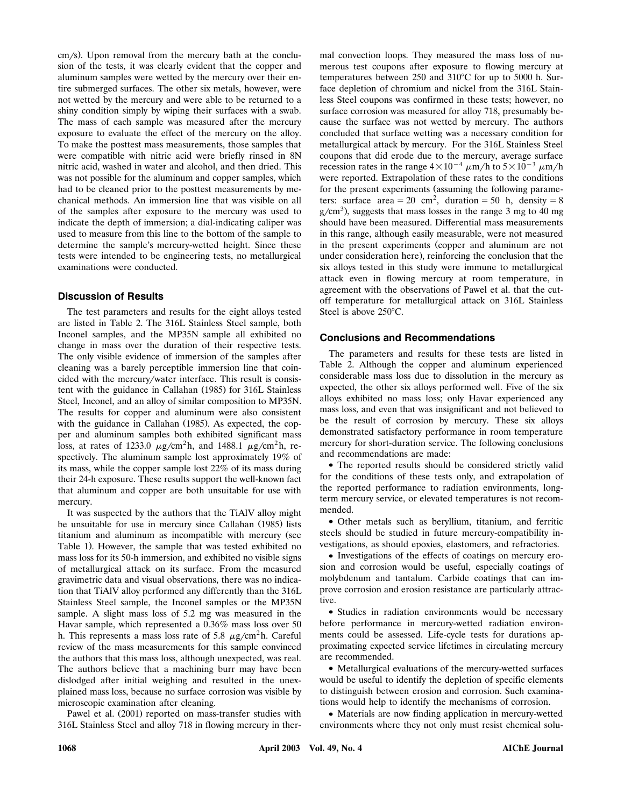$cm/s$ ). Upon removal from the mercury bath at the conclusion of the tests, it was clearly evident that the copper and aluminum samples were wetted by the mercury over their entire submerged surfaces. The other six metals, however, were not wetted by the mercury and were able to be returned to a shiny condition simply by wiping their surfaces with a swab. The mass of each sample was measured after the mercury exposure to evaluate the effect of the mercury on the alloy. To make the posttest mass measurements, those samples that were compatible with nitric acid were briefly rinsed in 8N nitric acid, washed in water and alcohol, and then dried. This was not possible for the aluminum and copper samples, which had to be cleaned prior to the posttest measurements by mechanical methods. An immersion line that was visible on all of the samples after exposure to the mercury was used to indicate the depth of immersion; a dial-indicating caliper was used to measure from this line to the bottom of the sample to determine the sample's mercury-wetted height. Since these tests were intended to be engineering tests, no metallurgical examinations were conducted.

## **Discussion of Results**

The test parameters and results for the eight alloys tested are listed in Table 2. The 316L Stainless Steel sample, both Inconel samples, and the MP35N sample all exhibited no change in mass over the duration of their respective tests. The only visible evidence of immersion of the samples after cleaning was a barely perceptible immersion line that coincided with the mercury/water interface. This result is consistent with the guidance in Callahan (1985) for 316L Stainless Steel, Inconel, and an alloy of similar composition to MP35N. The results for copper and aluminum were also consistent with the guidance in Callahan (1985). As expected, the copper and aluminum samples both exhibited significant mass loss, at rates of 1233.0  $\mu$ g/cm<sup>2</sup>h, and 1488.1  $\mu$ g/cm<sup>2</sup>h, respectively. The aluminum sample lost approximately 19% of its mass, while the copper sample lost 22% of its mass during their 24-h exposure. These results support the well-known fact that aluminum and copper are both unsuitable for use with mercury.

It was suspected by the authors that the TiAlV alloy might be unsuitable for use in mercury since Callahan (1985) lists titanium and aluminum as incompatible with mercury (see Table 1). However, the sample that was tested exhibited no mass loss for its 50-h immersion, and exhibited no visible signs of metallurgical attack on its surface. From the measured gravimetric data and visual observations, there was no indication that TiAlV alloy performed any differently than the 316L Stainless Steel sample, the Inconel samples or the MP35N sample. A slight mass loss of 5.2 mg was measured in the Havar sample, which represented a 0.36% mass loss over 50 h. This represents a mass loss rate of 5.8  $\mu$ g/cm<sup>2</sup>h. Careful review of the mass measurements for this sample convinced the authors that this mass loss, although unexpected, was real. The authors believe that a machining burr may have been dislodged after initial weighing and resulted in the unexplained mass loss, because no surface corrosion was visible by microscopic examination after cleaning.

Pawel et al. (2001) reported on mass-transfer studies with 316L Stainless Steel and alloy 718 in flowing mercury in ther-

mal convection loops. They measured the mass loss of numerous test coupons after exposure to flowing mercury at temperatures between  $250$  and  $310^{\circ}$ C for up to  $5000$  h. Surface depletion of chromium and nickel from the 316L Stainless Steel coupons was confirmed in these tests; however, no surface corrosion was measured for alloy 718, presumably because the surface was not wetted by mercury. The authors concluded that surface wetting was a necessary condition for metallurgical attack by mercury. For the 316L Stainless Steel coupons that did erode due to the mercury, average surface recession rates in the range  $4 \times 10^{-4} \mu$ m/h to  $5 \times 10^{-3} \mu$ m/h were reported. Extrapolation of these rates to the conditions for the present experiments (assuming the following parameters: surface area = 20 cm<sup>2</sup>, duration = 50 h, density = 8  $g/cm<sup>3</sup>$ ), suggests that mass losses in the range 3 mg to 40 mg should have been measured. Differential mass measurements in this range, although easily measurable, were not measured in the present experiments (copper and aluminum are not under consideration here), reinforcing the conclusion that the six alloys tested in this study were immune to metallurgical attack even in flowing mercury at room temperature, in agreement with the observations of Pawel et al. that the cutoff temperature for metallurgical attack on 316L Stainless Steel is above 250°C.

## **Conclusions and Recommendations**

The parameters and results for these tests are listed in Table 2. Although the copper and aluminum experienced considerable mass loss due to dissolution in the mercury as expected, the other six alloys performed well. Five of the six alloys exhibited no mass loss; only Havar experienced any mass loss, and even that was insignificant and not believed to be the result of corrosion by mercury. These six alloys demonstrated satisfactory performance in room temperature mercury for short-duration service. The following conclusions and recommendations are made:

 The reported results should be considered strictly valid for the conditions of these tests only, and extrapolation of the reported performance to radiation environments, longterm mercury service, or elevated temperatures is not recommended.

 Other metals such as beryllium, titanium, and ferritic steels should be studied in future mercury-compatibility investigations, as should epoxies, elastomers, and refractories.

• Investigations of the effects of coatings on mercury erosion and corrosion would be useful, especially coatings of molybdenum and tantalum. Carbide coatings that can improve corrosion and erosion resistance are particularly attractive.

• Studies in radiation environments would be necessary before performance in mercury-wetted radiation environments could be assessed. Life-cycle tests for durations approximating expected service lifetimes in circulating mercury are recommended.

 Metallurgical evaluations of the mercury-wetted surfaces would be useful to identify the depletion of specific elements to distinguish between erosion and corrosion. Such examinations would help to identify the mechanisms of corrosion.

 Materials are now finding application in mercury-wetted environments where they not only must resist chemical solu